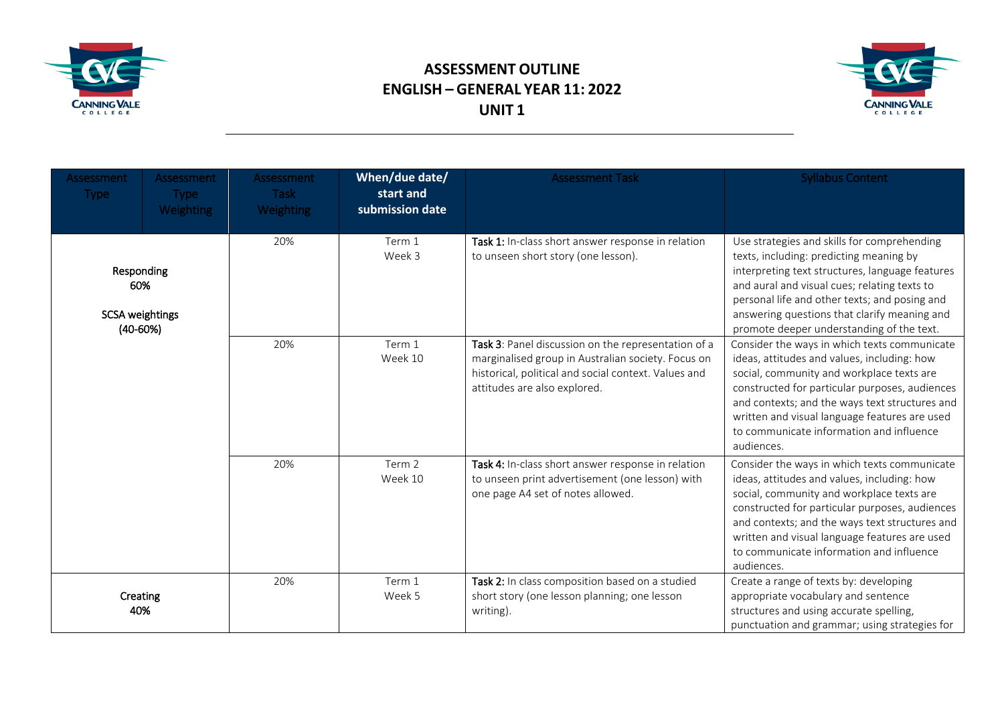

## **ASSESSMENT OUTLINE ENGLISH – GENERAL YEAR 11: 2022 UNIT 1**



| Assessment<br>Type:                                         | Assessment<br><b>Type</b><br><b>Weighting</b> | Assessment<br><b>Task</b><br><b>Weighting</b> | When/due date/<br>start and<br>submission date | <b>Assessment Task</b>                                                                                                                                                                            | <b>Syllabus Content</b>                                                                                                                                                                                                                                                                                                                                 |
|-------------------------------------------------------------|-----------------------------------------------|-----------------------------------------------|------------------------------------------------|---------------------------------------------------------------------------------------------------------------------------------------------------------------------------------------------------|---------------------------------------------------------------------------------------------------------------------------------------------------------------------------------------------------------------------------------------------------------------------------------------------------------------------------------------------------------|
| Responding<br>60%<br><b>SCSA weightings</b><br>$(40 - 60%)$ |                                               | 20%                                           | Term 1<br>Week 3                               | Task 1: In-class short answer response in relation<br>to unseen short story (one lesson).                                                                                                         | Use strategies and skills for comprehending<br>texts, including: predicting meaning by<br>interpreting text structures, language features<br>and aural and visual cues; relating texts to<br>personal life and other texts; and posing and<br>answering questions that clarify meaning and<br>promote deeper understanding of the text.                 |
|                                                             |                                               | 20%                                           | Term 1<br>Week 10                              | Task 3: Panel discussion on the representation of a<br>marginalised group in Australian society. Focus on<br>historical, political and social context. Values and<br>attitudes are also explored. | Consider the ways in which texts communicate<br>ideas, attitudes and values, including: how<br>social, community and workplace texts are<br>constructed for particular purposes, audiences<br>and contexts; and the ways text structures and<br>written and visual language features are used<br>to communicate information and influence<br>audiences. |
|                                                             |                                               | 20%                                           | Term 2<br>Week 10                              | Task 4: In-class short answer response in relation<br>to unseen print advertisement (one lesson) with<br>one page A4 set of notes allowed.                                                        | Consider the ways in which texts communicate<br>ideas, attitudes and values, including: how<br>social, community and workplace texts are<br>constructed for particular purposes, audiences<br>and contexts; and the ways text structures and<br>written and visual language features are used<br>to communicate information and influence<br>audiences. |
| Creating<br>40%                                             |                                               | 20%                                           | Term 1<br>Week 5                               | Task 2: In class composition based on a studied<br>short story (one lesson planning; one lesson<br>writing).                                                                                      | Create a range of texts by: developing<br>appropriate vocabulary and sentence<br>structures and using accurate spelling,<br>punctuation and grammar; using strategies for                                                                                                                                                                               |